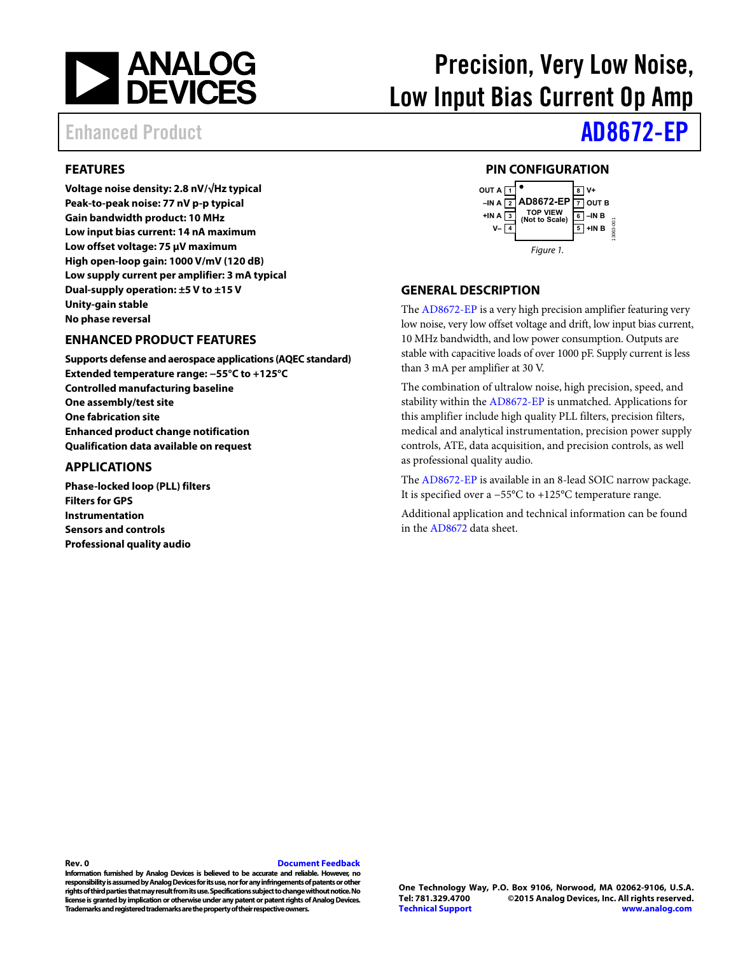

# Precision, Very Low Noise, Low Input Bias Current Op Amp

# Enhanced Product **[AD8672-EP](http://www.analog.com/AD8672-EP?doc=AD8672-EP.pdf)**

## <span id="page-0-0"></span>**FEATURES**

**Voltage noise density: 2.8 nV/√Hz typical Peak-to-peak noise: 77 nV p-p typical Gain bandwidth product: 10 MHz Low input bias current: 14 nA maximum Low offset voltage: 75 μV maximum High open-loop gain: 1000 V/mV (120 dB) Low supply current per amplifier: 3 mA typical Dual-supply operation: ±5 V to ±15 V Unity-gain stable No phase reversal** 

#### <span id="page-0-1"></span>**ENHANCED PRODUCT FEATURES**

**Supports defense and aerospace applications (AQEC standard) Extended temperature range: −55°C to +125°C Controlled manufacturing baseline One assembly/test site One fabrication site Enhanced product change notification Qualification data available on request** 

#### <span id="page-0-2"></span>**APPLICATIONS**

**Phase-locked loop (PLL) filters Filters for GPS Instrumentation Sensors and controls Professional quality audio** 

### **PIN CONFIGURATION**

<span id="page-0-3"></span>

#### <span id="page-0-4"></span>**GENERAL DESCRIPTION**

The [AD8672-EP](http://www.analog.com/AD8672-EP?doc=AD8672-EP.pdf) is a very high precision amplifier featuring very low noise, very low offset voltage and drift, low input bias current, 10 MHz bandwidth, and low power consumption. Outputs are stable with capacitive loads of over 1000 pF. Supply current is less than 3 mA per amplifier at 30 V.

The combination of ultralow noise, high precision, speed, and stability within the [AD8672-EP](http://www.analog.com/AD8672-EP?doc=AD8672-EP.pdf) is unmatched. Applications for this amplifier include high quality PLL filters, precision filters, medical and analytical instrumentation, precision power supply controls, ATE, data acquisition, and precision controls, as well as professional quality audio.

The [AD8672-EP](http://www.analog.com/AD8672-EP?doc=AD8672-EP.pdf) is available in an 8-lead SOIC narrow package. It is specified over a −55°C to +125°C temperature range.

Additional application and technical information can be found in the [AD8672 d](http://www.analog.com/AD8672?doc=AD8672-EP.pdf)ata sheet.

#### **Rev. 0 [Document Feedback](https://form.analog.com/Form_Pages/feedback/documentfeedback.aspx?doc=AD8672-EP.pdf&product=AD8672-EP&rev=0)**

**Information furnished by Analog Devices is believed to be accurate and reliable. However, no responsibility is assumed by Analog Devices for its use, nor for any infringements of patents or other rights of third parties that may result from its use. Specifications subject to change without notice. No license is granted by implication or otherwise under any patent or patent rights of Analog Devices. Trademarks and registered trademarks are the property of their respective owners.**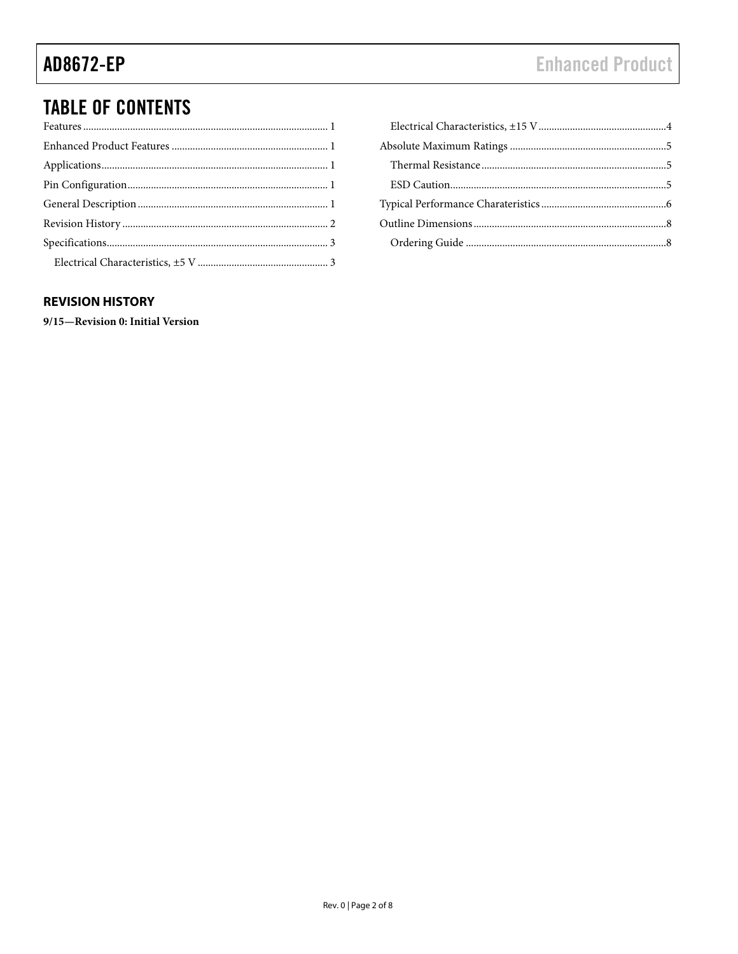# **TABLE OF CONTENTS**

## <span id="page-1-0"></span>**REVISION HISTORY**

9/15-Revision 0: Initial Version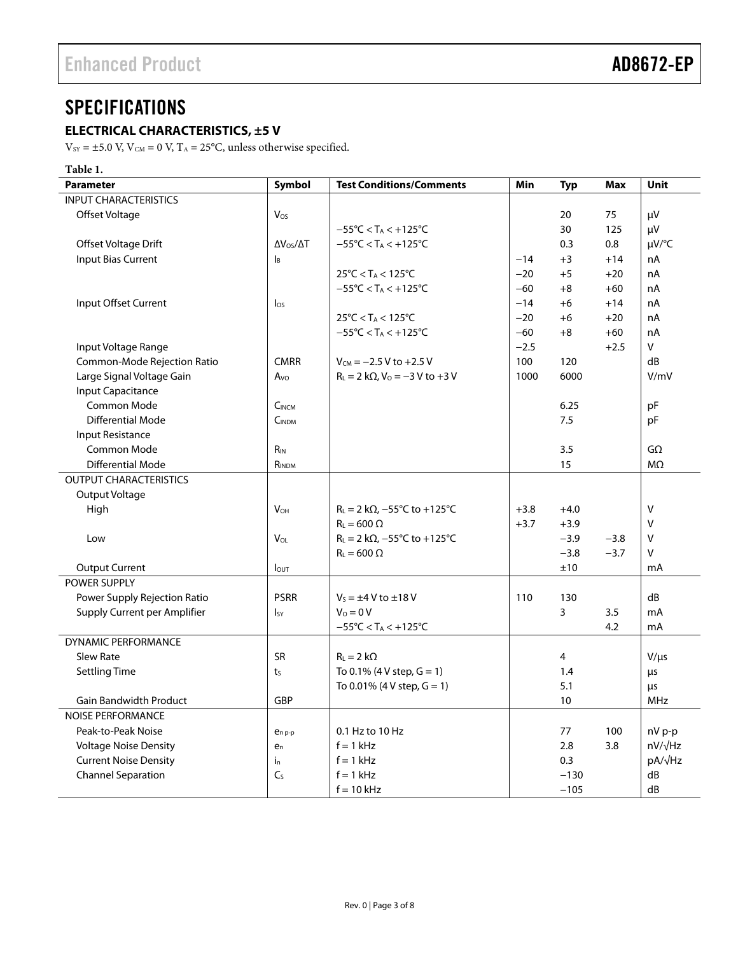# <span id="page-2-0"></span>**SPECIFICATIONS**

## <span id="page-2-1"></span>**ELECTRICAL CHARACTERISTICS, ±5 V**

 $\rm V_{\rm SY}$  = ±5.0 V, V $\rm C_M$  = 0 V, T $\rm A$  = 25°C, unless otherwise specified.

## **Table 1.**

| <b>Parameter</b>              | Symbol                   | <b>Test Conditions/Comments</b>                     | Min    | <b>Typ</b> | Max    | Unit               |
|-------------------------------|--------------------------|-----------------------------------------------------|--------|------------|--------|--------------------|
| <b>INPUT CHARACTERISTICS</b>  |                          |                                                     |        |            |        |                    |
| Offset Voltage                | Vos                      |                                                     |        | 20         | 75     | μV                 |
|                               |                          | $-55^{\circ}$ C < T <sub>A</sub> < $+125^{\circ}$ C |        | 30         | 125    | μV                 |
| Offset Voltage Drift          | $\Delta V_{OS}/\Delta T$ | $-55^{\circ}$ C < T <sub>A</sub> < $+125^{\circ}$ C |        | 0.3        | 0.8    | µV/°C              |
| <b>Input Bias Current</b>     | Iв                       |                                                     | $-14$  | $+3$       | $+14$  | nA                 |
|                               |                          | $25^{\circ}$ C < T <sub>A</sub> < 125 $^{\circ}$ C  | $-20$  | $+5$       | $+20$  | nA                 |
|                               |                          | $-55^{\circ}$ C < T <sub>A</sub> < $+125^{\circ}$ C | $-60$  | $+8$       | $+60$  | nA                 |
| Input Offset Current          | $\log$                   |                                                     | $-14$  | $+6$       | $+14$  | nA                 |
|                               |                          | $25^{\circ}$ C < T <sub>A</sub> < 125 $^{\circ}$ C  | $-20$  | $+6$       | $+20$  | nA                 |
|                               |                          | $-55^{\circ}$ C < T <sub>A</sub> < $+125^{\circ}$ C | $-60$  | $+8$       | $+60$  | nA                 |
| Input Voltage Range           |                          |                                                     | $-2.5$ |            | $+2.5$ | V                  |
| Common-Mode Rejection Ratio   | <b>CMRR</b>              | $V_{CM} = -2.5 V$ to +2.5 V                         | 100    | 120        |        | dB                 |
| Large Signal Voltage Gain     | $A_{\rm VO}$             | $R_L = 2 k\Omega$ , $V_0 = -3 V$ to +3 V            | 1000   | 6000       |        | V/mV               |
| <b>Input Capacitance</b>      |                          |                                                     |        |            |        |                    |
| Common Mode                   | $C_{INCM}$               |                                                     |        | 6.25       |        | pF                 |
| <b>Differential Mode</b>      | C <sub>INDM</sub>        |                                                     |        | 7.5        |        | рF                 |
| <b>Input Resistance</b>       |                          |                                                     |        |            |        |                    |
| Common Mode                   | $R_{IN}$                 |                                                     |        | 3.5        |        | $G\Omega$          |
| <b>Differential Mode</b>      | $R_{\text{INDM}}$        |                                                     |        | 15         |        | M <sub>2</sub>     |
| <b>OUTPUT CHARACTERISTICS</b> |                          |                                                     |        |            |        |                    |
| Output Voltage                |                          |                                                     |        |            |        |                    |
| High                          | <b>V<sub>OH</sub></b>    | $R_L = 2 k\Omega$ , -55°C to +125°C                 | $+3.8$ | $+4.0$     |        | V                  |
|                               |                          | $R_1 = 600 \Omega$                                  | $+3.7$ | $+3.9$     |        | $\vee$             |
| Low                           | VOL                      | $R_L = 2 k\Omega$ , -55°C to +125°C                 |        | $-3.9$     | $-3.8$ | $\vee$             |
|                               |                          | $R_L = 600 \Omega$                                  |        | $-3.8$     | $-3.7$ | V                  |
| <b>Output Current</b>         | $I_{\text{OUT}}$         |                                                     |        | ±10        |        | mA                 |
| <b>POWER SUPPLY</b>           |                          |                                                     |        |            |        |                    |
| Power Supply Rejection Ratio  | <b>PSRR</b>              | $V_s = \pm 4$ V to $\pm 18$ V                       | 110    | 130        |        | dB                 |
| Supply Current per Amplifier  | IsY                      | $V_0 = 0 V$                                         |        | 3          | 3.5    | mA                 |
|                               |                          | $-55^{\circ}$ C < T <sub>A</sub> < $+125^{\circ}$ C |        |            | 4.2    | mA                 |
| <b>DYNAMIC PERFORMANCE</b>    |                          |                                                     |        |            |        |                    |
| Slew Rate                     | <b>SR</b>                | $R_L = 2 k\Omega$                                   |        | 4          |        | $V/\mu s$          |
| <b>Settling Time</b>          | t <sub>S</sub>           | To 0.1% (4 V step, $G = 1$ )                        |        | 1.4        |        | μs                 |
|                               |                          | To 0.01% (4 V step, $G = 1$ )                       |        | 5.1        |        | μs                 |
| Gain Bandwidth Product        | <b>GBP</b>               |                                                     |        | 10         |        | <b>MHz</b>         |
| <b>NOISE PERFORMANCE</b>      |                          |                                                     |        |            |        |                    |
| Peak-to-Peak Noise            | $e_{n,p-p}$              | 0.1 Hz to 10 Hz                                     |        | 77         | 100    | nV p-p             |
| <b>Voltage Noise Density</b>  | e <sub>n</sub>           | $f = 1$ kHz                                         |        | 2.8        | 3.8    | nV/ <sub>VHz</sub> |
| <b>Current Noise Density</b>  | $i_{n}$                  | $f = 1$ kHz                                         |        | 0.3        |        | pA/√Hz             |
| <b>Channel Separation</b>     | C <sub>S</sub>           | $f = 1$ kHz                                         |        | $-130$     |        | dB                 |
|                               |                          | $f = 10$ kHz                                        |        | $-105$     |        | dB                 |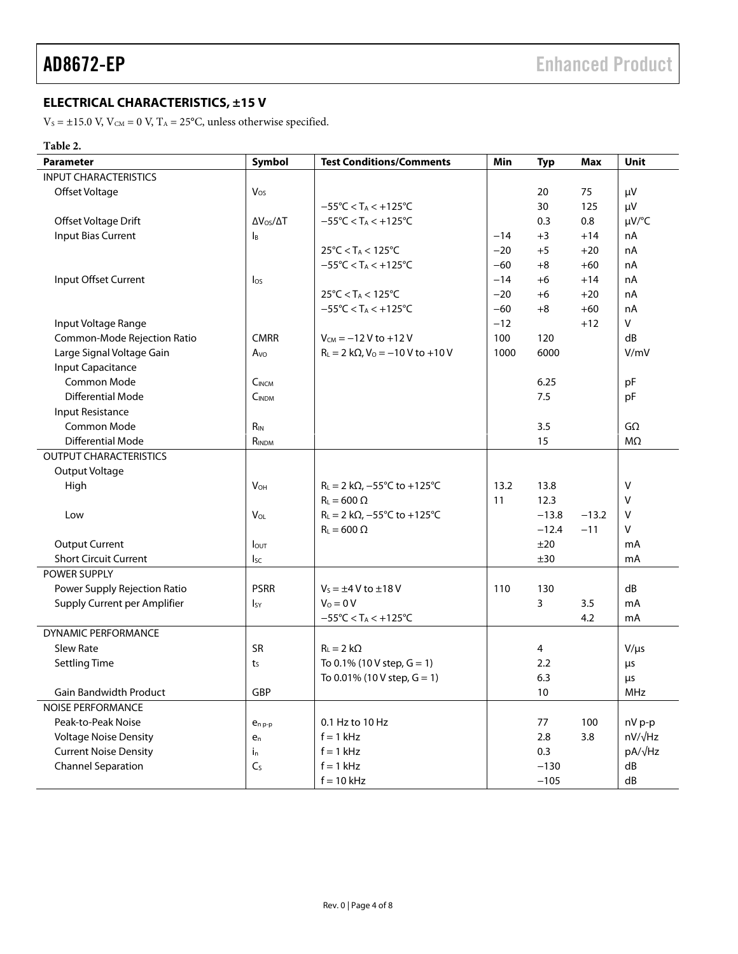## <span id="page-3-0"></span>**ELECTRICAL CHARACTERISTICS, ±15 V**

 $V_s = \pm 15.0$  V,  $V_{CM} = 0$  V,  $T_A = 25$ °C, unless otherwise specified.

## **Table 2.**

| <b>Parameter</b>              | Symbol                    | <b>Test Conditions/Comments</b>                         | Min   | <b>Typ</b> | Max     | Unit           |
|-------------------------------|---------------------------|---------------------------------------------------------|-------|------------|---------|----------------|
| <b>INPUT CHARACTERISTICS</b>  |                           |                                                         |       |            |         |                |
| Offset Voltage                | $V_{OS}$                  |                                                         |       | 20         | 75      | μV             |
|                               |                           | $-55^{\circ}$ C < T <sub>A</sub> < $+125^{\circ}$ C     |       | 30         | 125     | μV             |
| Offset Voltage Drift          | $\Delta V_{OS}/\Delta T$  | $-55^{\circ}$ C < T <sub>A</sub> < $+125^{\circ}$ C     |       | 0.3        | 0.8     | µV/°C          |
| <b>Input Bias Current</b>     | $\mathsf{I}_{\mathsf{B}}$ |                                                         | $-14$ | $+3$       | $+14$   | nA             |
|                               |                           | $25^{\circ}$ C < T <sub>A</sub> < 125 $^{\circ}$ C      | $-20$ | $+5$       | $+20$   | nA             |
|                               |                           | $-55^{\circ}$ C < T <sub>A</sub> < $+125^{\circ}$ C     | $-60$ | $+8$       | $+60$   | nA             |
| Input Offset Current          | $\log$                    |                                                         | $-14$ | $+6$       | $+14$   | nA             |
|                               |                           | $25^{\circ}$ C < T <sub>A</sub> < 125 $^{\circ}$ C      | $-20$ | $+6$       | $+20$   | nA             |
|                               |                           | $-55^{\circ}$ C < T <sub>A</sub> < $+125^{\circ}$ C     | $-60$ | $+8$       | $+60$   | nA             |
| Input Voltage Range           |                           |                                                         | $-12$ |            | $+12$   | V              |
| Common-Mode Rejection Ratio   | <b>CMRR</b>               | $V_{CM} = -12 V to +12 V$                               | 100   | 120        |         | dB             |
| Large Signal Voltage Gain     | Avo                       | $R_L = 2 k\Omega$ , $V_0 = -10 V$ to +10 V              | 1000  | 6000       |         | V/mV           |
| <b>Input Capacitance</b>      |                           |                                                         |       |            |         |                |
| Common Mode                   | <b>CINCM</b>              |                                                         |       | 6.25       |         | pF             |
| <b>Differential Mode</b>      | <b>CINDM</b>              |                                                         |       | 7.5        |         | pF             |
| Input Resistance              |                           |                                                         |       |            |         |                |
| Common Mode                   | $R_{IN}$                  |                                                         |       | 3.5        |         | $G\Omega$      |
| <b>Differential Mode</b>      | RINDM                     |                                                         |       | 15         |         | $M\Omega$      |
| <b>OUTPUT CHARACTERISTICS</b> |                           |                                                         |       |            |         |                |
| Output Voltage                |                           |                                                         |       |            |         |                |
| High                          | <b>V<sub>OH</sub></b>     | $R_L = 2 k\Omega$ , -55°C to +125°C                     | 13.2  | 13.8       |         | V              |
|                               |                           | $R_L = 600 \Omega$                                      | 11    | 12.3       |         | v              |
| Low                           | $V_{OL}$                  | $R_L = 2 k\Omega$ , $-55^{\circ}$ C to $+125^{\circ}$ C |       | $-13.8$    | $-13.2$ | $\vee$         |
|                               |                           | $R_L = 600 \Omega$                                      |       | $-12.4$    | $-11$   | V              |
| <b>Output Current</b>         | <b>l</b> out              |                                                         |       | ±20        |         | mA             |
| <b>Short Circuit Current</b>  | <sub>Isc</sub>            |                                                         |       | ±30        |         | mA             |
| POWER SUPPLY                  |                           |                                                         |       |            |         |                |
| Power Supply Rejection Ratio  | <b>PSRR</b>               | $V_s = \pm 4$ V to $\pm 18$ V                           | 110   | 130        |         | dB             |
| Supply Current per Amplifier  | $I_{SY}$                  | $V_0 = 0 V$                                             |       | 3          | 3.5     | mA             |
|                               |                           | $-55^{\circ}$ C < T <sub>A</sub> < $+125^{\circ}$ C     |       |            | 4.2     | mA             |
| DYNAMIC PERFORMANCE           |                           |                                                         |       |            |         |                |
| <b>Slew Rate</b>              | <b>SR</b>                 | $R_L = 2 k\Omega$                                       |       | 4          |         | $V/\mu s$      |
| <b>Settling Time</b>          | ts                        | To 0.1% (10 V step, $G = 1$ )                           |       | 2.2        |         | μs             |
|                               |                           | To 0.01% (10 V step, $G = 1$ )                          |       | 6.3        |         | μs             |
| <b>Gain Bandwidth Product</b> | GBP                       |                                                         |       | 10         |         | MHz            |
| <b>NOISE PERFORMANCE</b>      |                           |                                                         |       |            |         |                |
| Peak-to-Peak Noise            | $e_{n,p-p}$               | 0.1 Hz to 10 Hz                                         |       | 77         | 100     | nV p-p         |
| <b>Voltage Noise Density</b>  | $e_n$                     | $f = 1$ kHz                                             |       | 2.8        | 3.8     | $nV/\sqrt{Hz}$ |
| <b>Current Noise Density</b>  | $i_{n}$                   | $f = 1$ kHz                                             |       | 0.3        |         | pA/√Hz         |
| <b>Channel Separation</b>     | $C_{S}$                   | $f = 1$ kHz                                             |       | $-130$     |         | dB             |
|                               |                           | $f = 10$ kHz                                            |       | $-105$     |         | ${\sf dB}$     |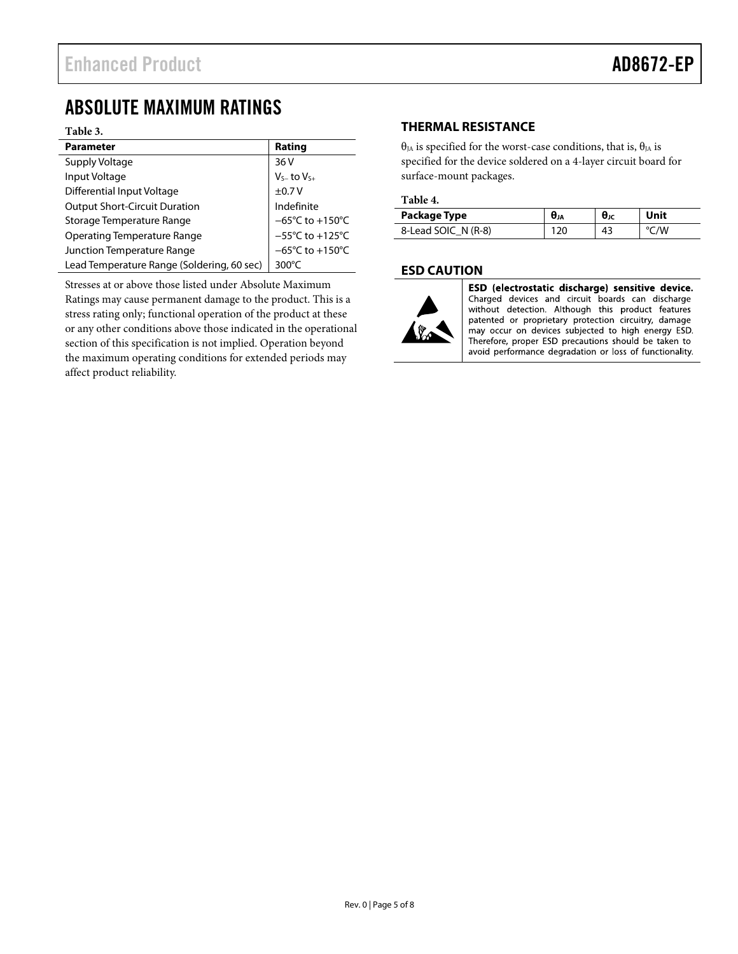# <span id="page-4-0"></span>ABSOLUTE MAXIMUM RATINGS

#### **Table 3.**

| <b>Parameter</b>                           | Rating                               |
|--------------------------------------------|--------------------------------------|
| Supply Voltage                             | 36V                                  |
| Input Voltage                              | $V_{S-}$ to $V_{S+}$                 |
| Differential Input Voltage                 | ±0.7V                                |
| <b>Output Short-Circuit Duration</b>       | Indefinite                           |
| Storage Temperature Range                  | $-65^{\circ}$ C to +150 $^{\circ}$ C |
| <b>Operating Temperature Range</b>         | $-55^{\circ}$ C to $+125^{\circ}$ C  |
| Junction Temperature Range                 | $-65^{\circ}$ C to +150 $^{\circ}$ C |
| Lead Temperature Range (Soldering, 60 sec) | 300 $\degree$ C                      |

Stresses at or above those listed under Absolute Maximum Ratings may cause permanent damage to the product. This is a stress rating only; functional operation of the product at these or any other conditions above those indicated in the operational section of this specification is not implied. Operation beyond the maximum operating conditions for extended periods may affect product reliability.

## <span id="page-4-1"></span>**THERMAL RESISTANCE**

θ<sub>JA</sub> is specified for the worst-case conditions, that is, θ<sub>JA</sub> is specified for the device soldered on a 4-layer circuit board for surface-mount packages.

#### **Table 4.**

| Package Type        | <b>U</b> JA | $θ$ ις | Unit |
|---------------------|-------------|--------|------|
| 8-Lead SOIC N (R-8) |             | 43     | /W   |

## <span id="page-4-2"></span>**ESD CAUTION**



ESD (electrostatic discharge) sensitive device. Charged devices and circuit boards can discharge without detection. Although this product features patented or proprietary protection circuitry, damage may occur on devices subjected to high energy ESD. Therefore, proper ESD precautions should be taken to avoid performance degradation or loss of functionality.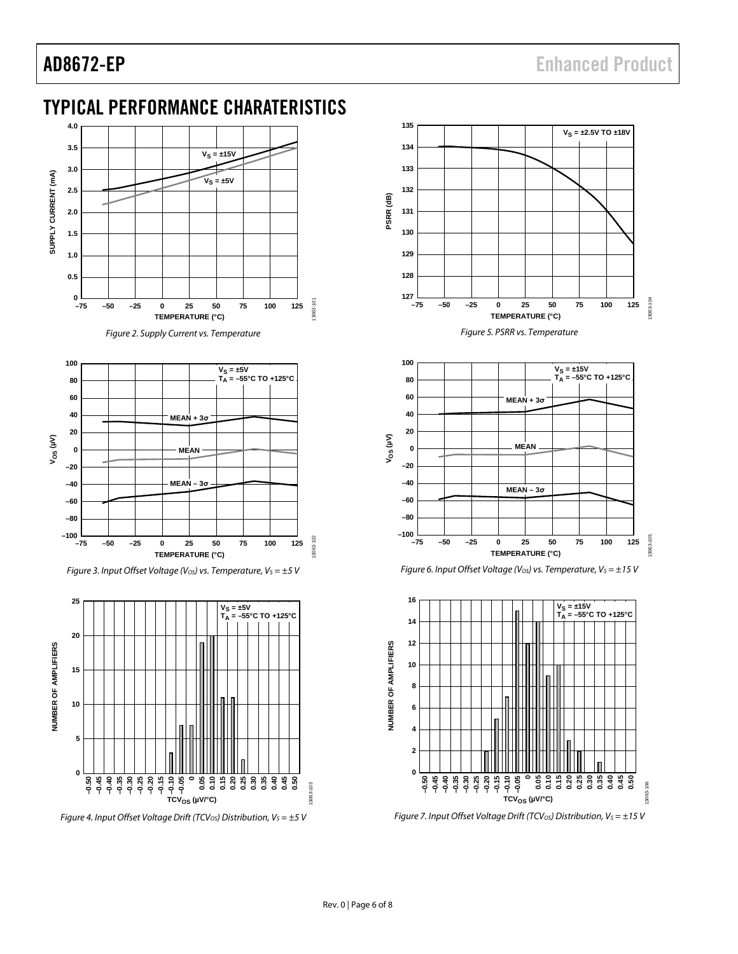# <span id="page-5-0"></span>TYPICAL PERFORMANCE CHARATERISTICS



*Figure 4. Input Offset Voltage Drift (TCV<sub>OS</sub>) Distribution, V<sub>S</sub> = ±5 V* 





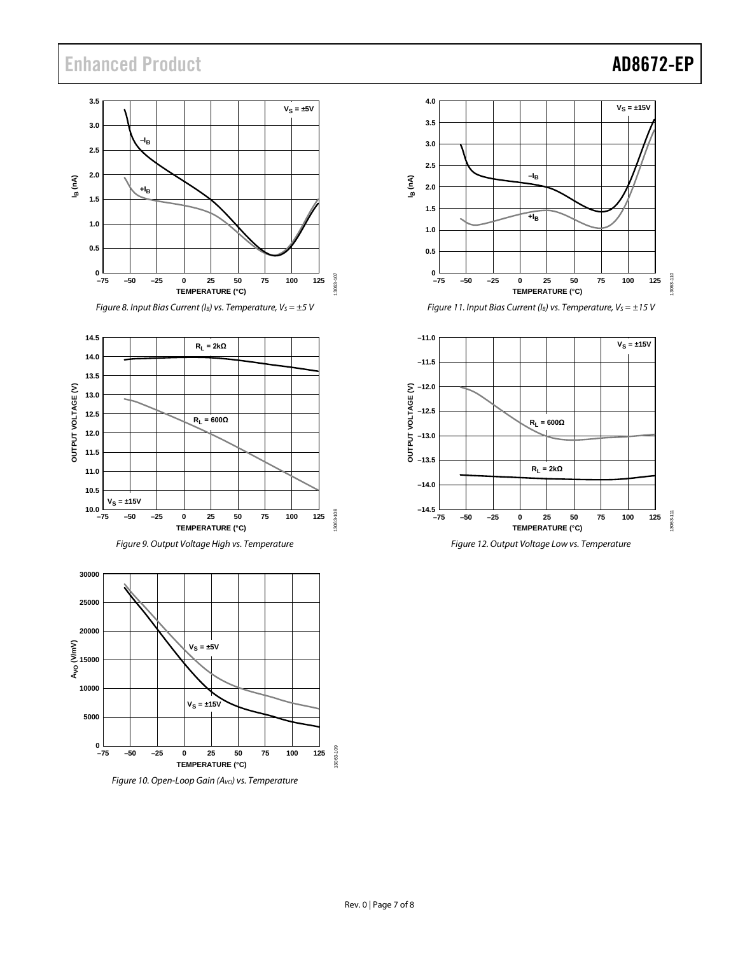# Enhanced Product **AD8672-EP**



*Figure 8. Input Bias Current (I<sub>B</sub>) vs. Temperature, V<sub>S</sub> = ±5 V* 







*Figure 10. Open-Loop Gain (AVO) vs. Temperature*



*Figure 11. Input Bias Current (I<sub>B</sub>) vs. Temperature, V<sub>S</sub> = ±15 V* 



*Figure 12. Output Voltage Low vs. Temperature*